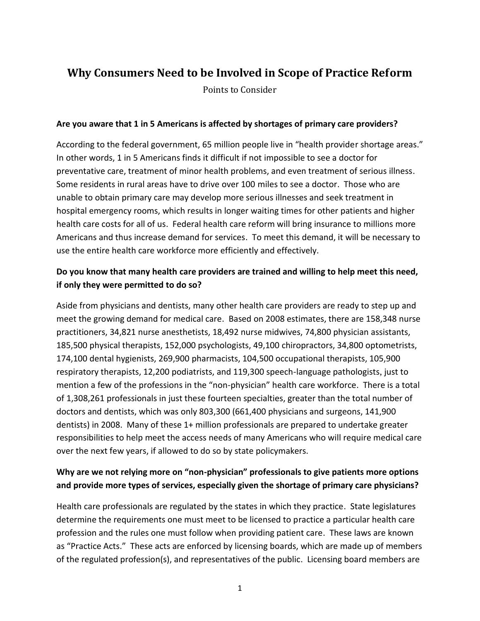# **Why Consumers Need to be Involved in Scope of Practice Reform**

Points to Consider

#### **Are you aware that 1 in 5 Americans is affected by shortages of primary care providers?**

According to the federal government, 65 million people live in "health provider shortage areas." In other words, 1 in 5 Americans finds it difficult if not impossible to see a doctor for preventative care, treatment of minor health problems, and even treatment of serious illness. Some residents in rural areas have to drive over 100 miles to see a doctor. Those who are unable to obtain primary care may develop more serious illnesses and seek treatment in hospital emergency rooms, which results in longer waiting times for other patients and higher health care costs for all of us. Federal health care reform will bring insurance to millions more Americans and thus increase demand for services. To meet this demand, it will be necessary to use the entire health care workforce more efficiently and effectively.

### **Do you know that many health care providers are trained and willing to help meet this need, if only they were permitted to do so?**

Aside from physicians and dentists, many other health care providers are ready to step up and meet the growing demand for medical care. Based on 2008 estimates, there are 158,348 nurse practitioners, 34,821 nurse anesthetists, 18,492 nurse midwives, 74,800 physician assistants, 185,500 physical therapists, 152,000 psychologists, 49,100 chiropractors, 34,800 optometrists, 174,100 dental hygienists, 269,900 pharmacists, 104,500 occupational therapists, 105,900 respiratory therapists, 12,200 podiatrists, and 119,300 speech-language pathologists, just to mention a few of the professions in the "non-physician" health care workforce. There is a total of 1,308,261 professionals in just these fourteen specialties, greater than the total number of doctors and dentists, which was only 803,300 (661,400 physicians and surgeons, 141,900 dentists) in 2008. Many of these 1+ million professionals are prepared to undertake greater responsibilities to help meet the access needs of many Americans who will require medical care over the next few years, if allowed to do so by state policymakers.

## **Why are we not relying more on "non-physician" professionals to give patients more options and provide more types of services, especially given the shortage of primary care physicians?**

Health care professionals are regulated by the states in which they practice. State legislatures determine the requirements one must meet to be licensed to practice a particular health care profession and the rules one must follow when providing patient care. These laws are known as "Practice Acts." These acts are enforced by licensing boards, which are made up of members of the regulated profession(s), and representatives of the public. Licensing board members are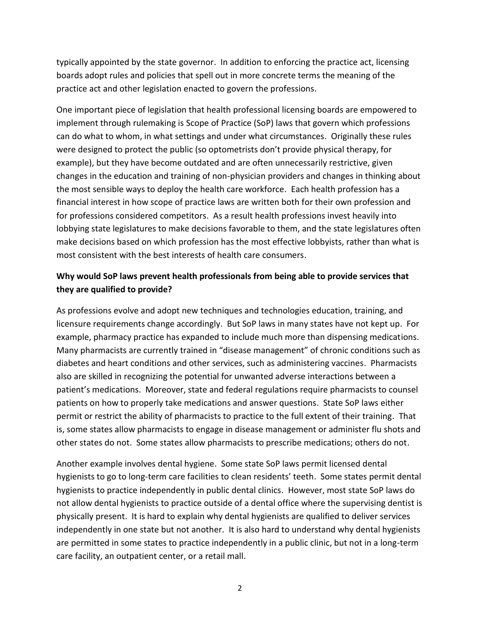typically appointed by the state governor. In addition to enforcing the practice act, licensing boards adopt rules and policies that spell out in more concrete terms the meaning of the practice act and other legislation enacted to govern the professions.

One important piece of legislation that health professional licensing boards are empowered to implement through rulemaking is Scope of Practice (SoP) laws that govern which professions can do what to whom, in what settings and under what circumstances. Originally these rules were designed to protect the public (so optometrists don't provide physical therapy, for example), but they have become outdated and are often unnecessarily restrictive, given changes in the education and training of non-physician providers and changes in thinking about the most sensible ways to deploy the health care workforce. Each health profession has a financial interest in how scope of practice laws are written both for their own profession and for professions considered competitors. As a result health professions invest heavily into lobbying state legislatures to make decisions favorable to them, and the state legislatures often make decisions based on which profession has the most effective lobbyists, rather than what is most consistent with the best interests of health care consumers.

### **Why would SoP laws prevent health professionals from being able to provide services that they are qualified to provide?**

As professions evolve and adopt new techniques and technologies education, training, and licensure requirements change accordingly. But SoP laws in many states have not kept up. For example, pharmacy practice has expanded to include much more than dispensing medications. Many pharmacists are currently trained in "disease management" of chronic conditions such as diabetes and heart conditions and other services, such as administering vaccines. Pharmacists also are skilled in recognizing the potential for unwanted adverse interactions between a patient's medications. Moreover, state and federal regulations require pharmacists to counsel patients on how to properly take medications and answer questions. State SoP laws either permit or restrict the ability of pharmacists to practice to the full extent of their training. That is, some states allow pharmacists to engage in disease management or administer flu shots and other states do not. Some states allow pharmacists to prescribe medications; others do not.

Another example involves dental hygiene. Some state SoP laws permit licensed dental hygienists to go to long-term care facilities to clean residents' teeth. Some states permit dental hygienists to practice independently in public dental clinics. However, most state SoP laws do not allow dental hygienists to practice outside of a dental office where the supervising dentist is physically present. It is hard to explain why dental hygienists are qualified to deliver services independently in one state but not another. It is also hard to understand why dental hygienists are permitted in some states to practice independently in a public clinic, but not in a long-term care facility, an outpatient center, or a retail mall.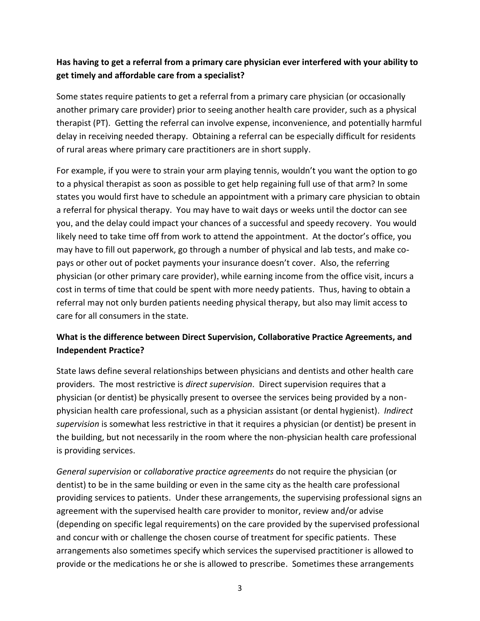# **Has having to get a referral from a primary care physician ever interfered with your ability to get timely and affordable care from a specialist?**

Some states require patients to get a referral from a primary care physician (or occasionally another primary care provider) prior to seeing another health care provider, such as a physical therapist (PT). Getting the referral can involve expense, inconvenience, and potentially harmful delay in receiving needed therapy. Obtaining a referral can be especially difficult for residents of rural areas where primary care practitioners are in short supply.

For example, if you were to strain your arm playing tennis, wouldn't you want the option to go to a physical therapist as soon as possible to get help regaining full use of that arm? In some states you would first have to schedule an appointment with a primary care physician to obtain a referral for physical therapy. You may have to wait days or weeks until the doctor can see you, and the delay could impact your chances of a successful and speedy recovery. You would likely need to take time off from work to attend the appointment. At the doctor's office, you may have to fill out paperwork, go through a number of physical and lab tests, and make copays or other out of pocket payments your insurance doesn't cover. Also, the referring physician (or other primary care provider), while earning income from the office visit, incurs a cost in terms of time that could be spent with more needy patients. Thus, having to obtain a referral may not only burden patients needing physical therapy, but also may limit access to care for all consumers in the state.

# **What is the difference between Direct Supervision, Collaborative Practice Agreements, and Independent Practice?**

State laws define several relationships between physicians and dentists and other health care providers. The most restrictive is *direct supervision*. Direct supervision requires that a physician (or dentist) be physically present to oversee the services being provided by a nonphysician health care professional, such as a physician assistant (or dental hygienist). *Indirect supervision* is somewhat less restrictive in that it requires a physician (or dentist) be present in the building, but not necessarily in the room where the non-physician health care professional is providing services.

*General supervision* or *collaborative practice agreements* do not require the physician (or dentist) to be in the same building or even in the same city as the health care professional providing services to patients. Under these arrangements, the supervising professional signs an agreement with the supervised health care provider to monitor, review and/or advise (depending on specific legal requirements) on the care provided by the supervised professional and concur with or challenge the chosen course of treatment for specific patients. These arrangements also sometimes specify which services the supervised practitioner is allowed to provide or the medications he or she is allowed to prescribe. Sometimes these arrangements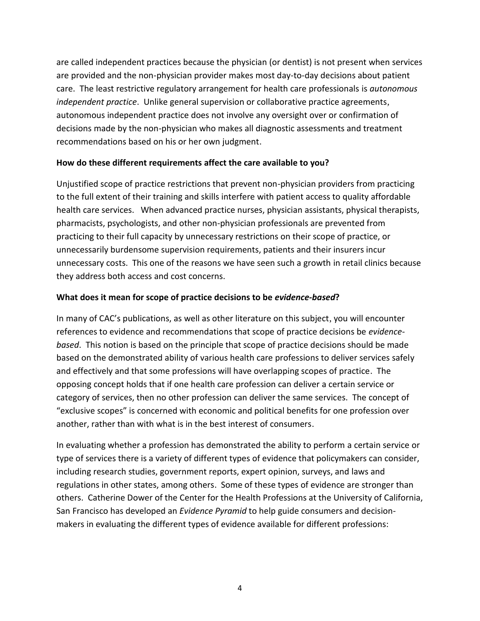are called independent practices because the physician (or dentist) is not present when services are provided and the non-physician provider makes most day-to-day decisions about patient care. The least restrictive regulatory arrangement for health care professionals is *autonomous independent practice*. Unlike general supervision or collaborative practice agreements*,* autonomous independent practice does not involve any oversight over or confirmation of decisions made by the non-physician who makes all diagnostic assessments and treatment recommendations based on his or her own judgment.

#### **How do these different requirements affect the care available to you?**

Unjustified scope of practice restrictions that prevent non-physician providers from practicing to the full extent of their training and skills interfere with patient access to quality affordable health care services. When advanced practice nurses, physician assistants, physical therapists, pharmacists, psychologists, and other non-physician professionals are prevented from practicing to their full capacity by unnecessary restrictions on their scope of practice, or unnecessarily burdensome supervision requirements, patients and their insurers incur unnecessary costs. This one of the reasons we have seen such a growth in retail clinics because they address both access and cost concerns.

#### **What does it mean for scope of practice decisions to be** *evidence-based***?**

In many of CAC's publications, as well as other literature on this subject, you will encounter references to evidence and recommendations that scope of practice decisions be *evidencebased*. This notion is based on the principle that scope of practice decisions should be made based on the demonstrated ability of various health care professions to deliver services safely and effectively and that some professions will have overlapping scopes of practice. The opposing concept holds that if one health care profession can deliver a certain service or category of services, then no other profession can deliver the same services. The concept of "exclusive scopes" is concerned with economic and political benefits for one profession over another, rather than with what is in the best interest of consumers.

In evaluating whether a profession has demonstrated the ability to perform a certain service or type of services there is a variety of different types of evidence that policymakers can consider, including research studies, government reports, expert opinion, surveys, and laws and regulations in other states, among others. Some of these types of evidence are stronger than others. Catherine Dower of the Center for the Health Professions at the University of California, San Francisco has developed an *Evidence Pyramid* to help guide consumers and decisionmakers in evaluating the different types of evidence available for different professions: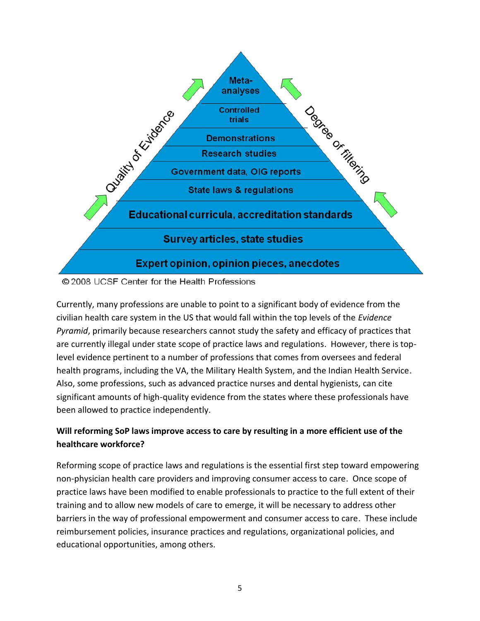



Currently, many professions are unable to point to a significant body of evidence from the civilian health care system in the US that would fall within the top levels of the *Evidence Pyramid*, primarily because researchers cannot study the safety and efficacy of practices that are currently illegal under state scope of practice laws and regulations. However, there is toplevel evidence pertinent to a number of professions that comes from oversees and federal health programs, including the VA, the Military Health System, and the Indian Health Service. Also, some professions, such as advanced practice nurses and dental hygienists, can cite significant amounts of high-quality evidence from the states where these professionals have been allowed to practice independently.

# **Will reforming SoP laws improve access to care by resulting in a more efficient use of the healthcare workforce?**

Reforming scope of practice laws and regulations is the essential first step toward empowering non-physician health care providers and improving consumer access to care. Once scope of practice laws have been modified to enable professionals to practice to the full extent of their training and to allow new models of care to emerge, it will be necessary to address other barriers in the way of professional empowerment and consumer access to care. These include reimbursement policies, insurance practices and regulations, organizational policies, and educational opportunities, among others.